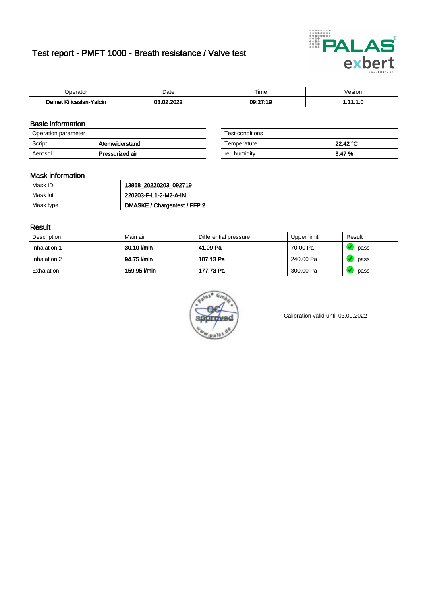# Test report - PMFT 1000 - Breath resistance / Valve test



| berator                                                                        | Date               | $- \cdot$<br>. ime | /esior |
|--------------------------------------------------------------------------------|--------------------|--------------------|--------|
| <b><i><u>ALCOHOL: 2004</u></i></b><br>10 <sub>m</sub><br>Yalcin<br>Kilicaslan- | , nnoc<br>00<br>ш. | 09:27:19           | .      |

### Basic information

| Operation parameter |                 | Test conditions |          |
|---------------------|-----------------|-----------------|----------|
| Script              | Atemwiderstand  | Temperature     | 22.42 °C |
| Aerosol             | Pressurized air | rel. humidity   | 3.47%    |

| Test conditions |          |
|-----------------|----------|
| Temperature     | 22.42 °C |
| rel. humidity   | 3.47%    |

### Mask information

| Mask ID   | 13868_20220203_092719        |
|-----------|------------------------------|
| Mask lot  | 220203-F-L1-2-M2-A-IN        |
| Mask type | DMASKE / Chargentest / FFP 2 |

### Result

| Description  | Main air     | Differential pressure | Upper limit | Result |
|--------------|--------------|-----------------------|-------------|--------|
| Inhalation 1 | 30.10 l/min  | 41.09 Pa              | 70.00 Pa    | pass   |
| Inhalation 2 | 94.75 l/min  | 107.13 Pa             | 240.00 Pa   | pass   |
| Exhalation   | 159.95 l/min | 177.73 Pa             | 300.00 Pa   | pass   |



Calibration valid until 03.09.2022